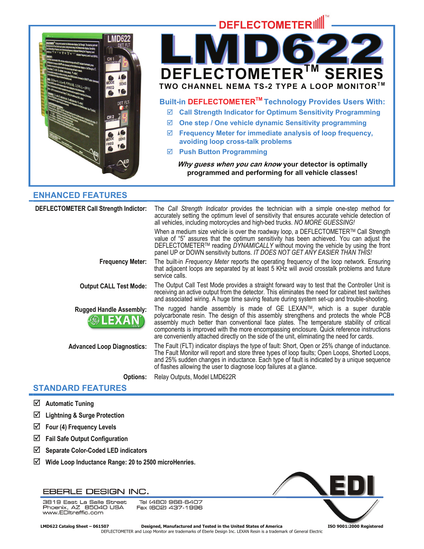

# **ENHANCED FEATURES**

| <b>DEFLECTOMETER Call Strength Indictor:</b>     | The Call Strength Indicator provides the technician with a simple one-step method for<br>accurately setting the optimum level of sensitivity that ensures accurate vehicle detection of<br>all vehicles, including motorcycles and high-bed trucks. NO MORE GUESSING!                                                                                                                                                                                         |
|--------------------------------------------------|---------------------------------------------------------------------------------------------------------------------------------------------------------------------------------------------------------------------------------------------------------------------------------------------------------------------------------------------------------------------------------------------------------------------------------------------------------------|
|                                                  | When a medium size vehicle is over the roadway loop, a DEFLECTOMETER™ Call Strength<br>value of "5" assures that the optimum sensitivity has been achieved. You can adjust the<br>DEFLECTOMETER™ reading DYNAMICALLY without moving the vehicle by using the front<br>panel UP or DOWN sensitivity buttons. IT DOES NOT GET ANY EASIER THAN THIS!                                                                                                             |
| <b>Frequency Meter:</b>                          | The built-in Frequency Meter reports the operating frequency of the loop network. Ensuring<br>that adjacent loops are separated by at least 5 KHz will avoid crosstalk problems and future<br>service calls.                                                                                                                                                                                                                                                  |
| <b>Output CALL Test Mode:</b>                    | The Output Call Test Mode provides a straight forward way to test that the Controller Unit is<br>receiving an active output from the detector. This eliminates the need for cabinet test switches<br>and associated wiring. A huge time saving feature during system set-up and trouble-shooting.                                                                                                                                                             |
| <b>Rugged Handle Assembly:</b><br><b>®LEXAN®</b> | The rugged handle assembly is made of GE LEXAN™, which is a super durable<br>polycarbonate resin. The design of this assembly strengthens and protects the whole PCB<br>assembly much better than conventional face plates. The temperature stability of critical<br>components is improved with the more encompassing enclosure. Quick reference instructions<br>are conveniently attached directly on the side of the unit, eliminating the need for cards. |
| <b>Advanced Loop Diagnostics:</b>                | The Fault (FLT) indicator displays the type of fault: Short, Open or 25% change of inductance.<br>The Fault Monitor will report and store three types of loop faults; Open Loops, Shorted Loops,<br>and 25% sudden changes in inductance. Each type of fault is indicated by a unique sequence<br>of flashes allowing the user to diagnose loop failures at a glance.                                                                                         |
| <b>Options:</b>                                  | Relay Outputs, Model LMD622R                                                                                                                                                                                                                                                                                                                                                                                                                                  |

# **STANDARD FEATURES**

- ; **Automatic Tuning**
- ; **Lightning & Surge Protection**
- $\boxtimes$  Four (4) Frequency Levels
- ; **Fail Safe Output Configuration**
- ; **Separate Color-Coded LED indicators**
- ; **Wide Loop Inductance Range: 20 to 2500 microHenries.**

# EBERLE DESIGN INC.

3819 East La Salle Street Tel (480) 968-6407 DO TO Last La Jane Dureet<br>Phoenix, AZ 85040 USA<br>www.EDltraffic.com Fax (602) 437-1996



 **LMD622 Catalog Sheet – 061507 Designed, Manufactured and Tested in the United States of America ISO 9001:2000 Registered**  DEFLECTOMETER and Loop Monitor are trademarks of Eberle Design Inc. LEXAN Resin is a trademark of General Electric